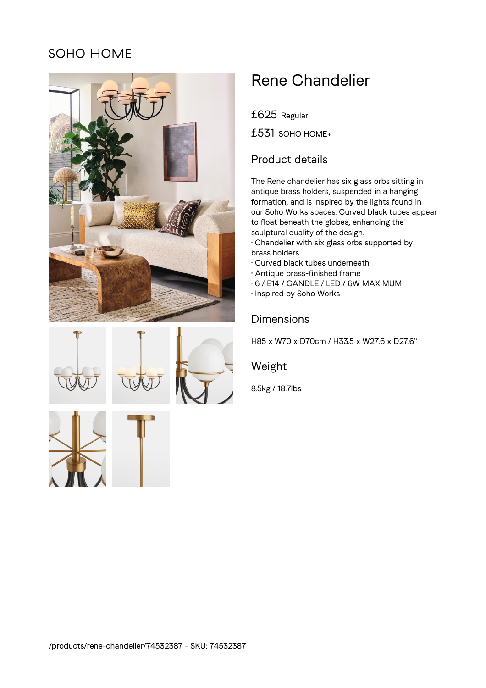## SOHO HOME





# Rene Chandelier

£625 Regular

£531 SOHO HOME+

### Product details

The Rene chandelier has six glass orbs sitting in antique brass holders, suspended in a hanging formation, and is inspired by the lights found in our Soho Works spaces. Curved black tubes appear to float beneath the globes, enhancing the sculptural quality of the design. • Chandelier with six glass orbs supported by

brass holders

- Curved black tubes underneath
- Antique brass-finished frame
- 6 / E14 / CANDLE / LED / 6W MAXIMUM
- Inspired by Soho Works

## Dimensions

H85 x W70 x D70cm / H33.5 x W27.6 x D27.6"

#### Weight

8.5kg / 18.7lbs